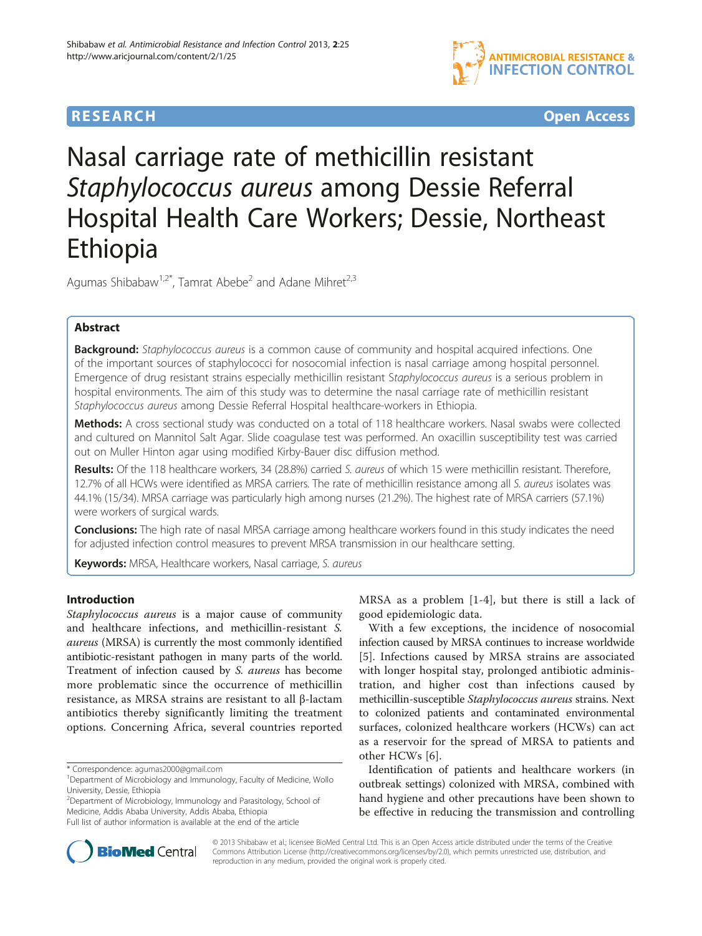



# Nasal carriage rate of methicillin resistant Staphylococcus aureus among Dessie Referral Hospital Health Care Workers; Dessie, Northeast Ethiopia

Agumas Shibabaw<sup>1,2\*</sup>, Tamrat Abebe<sup>2</sup> and Adane Mihret<sup>2,3</sup>

# Abstract

**Background:** Staphylococcus aureus is a common cause of community and hospital acquired infections. One of the important sources of staphylococci for nosocomial infection is nasal carriage among hospital personnel. Emergence of drug resistant strains especially methicillin resistant Staphylococcus aureus is a serious problem in hospital environments. The aim of this study was to determine the nasal carriage rate of methicillin resistant Staphylococcus aureus among Dessie Referral Hospital healthcare-workers in Ethiopia.

Methods: A cross sectional study was conducted on a total of 118 healthcare workers. Nasal swabs were collected and cultured on Mannitol Salt Agar. Slide coagulase test was performed. An oxacillin susceptibility test was carried out on Muller Hinton agar using modified Kirby-Bauer disc diffusion method.

Results: Of the 118 healthcare workers, 34 (28.8%) carried S. aureus of which 15 were methicillin resistant. Therefore, 12.7% of all HCWs were identified as MRSA carriers. The rate of methicillin resistance among all S. aureus isolates was 44.1% (15/34). MRSA carriage was particularly high among nurses (21.2%). The highest rate of MRSA carriers (57.1%) were workers of surgical wards.

Conclusions: The high rate of nasal MRSA carriage among healthcare workers found in this study indicates the need for adjusted infection control measures to prevent MRSA transmission in our healthcare setting.

Keywords: MRSA, Healthcare workers, Nasal carriage, S. aureus

# Introduction

Staphylococcus aureus is a major cause of community and healthcare infections, and methicillin-resistant S. aureus (MRSA) is currently the most commonly identified antibiotic-resistant pathogen in many parts of the world. Treatment of infection caused by S. aureus has become more problematic since the occurrence of methicillin resistance, as MRSA strains are resistant to all β-lactam antibiotics thereby significantly limiting the treatment options. Concerning Africa, several countries reported

<sup>2</sup>Department of Microbiology, Immunology and Parasitology, School of Medicine, Addis Ababa University, Addis Ababa, Ethiopia Full list of author information is available at the end of the article

MRSA as a problem [[1-4](#page-3-0)], but there is still a lack of good epidemiologic data.

With a few exceptions, the incidence of nosocomial infection caused by MRSA continues to increase worldwide [[5](#page-3-0)]. Infections caused by MRSA strains are associated with longer hospital stay, prolonged antibiotic administration, and higher cost than infections caused by methicillin-susceptible Staphylococcus aureus strains. Next to colonized patients and contaminated environmental surfaces, colonized healthcare workers (HCWs) can act as a reservoir for the spread of MRSA to patients and other HCWs [\[6](#page-3-0)].

Identification of patients and healthcare workers (in outbreak settings) colonized with MRSA, combined with hand hygiene and other precautions have been shown to be effective in reducing the transmission and controlling



© 2013 Shibabaw et al.; licensee BioMed Central Ltd. This is an Open Access article distributed under the terms of the Creative Commons Attribution License [\(http://creativecommons.org/licenses/by/2.0\)](http://creativecommons.org/licenses/by/2.0), which permits unrestricted use, distribution, and reproduction in any medium, provided the original work is properly cited.

<sup>\*</sup> Correspondence: [agumas2000@gmail.com](mailto:agumas2000@gmail.com) <sup>1</sup>

<sup>&</sup>lt;sup>1</sup>Department of Microbiology and Immunology, Faculty of Medicine, Wollo University, Dessie, Ethiopia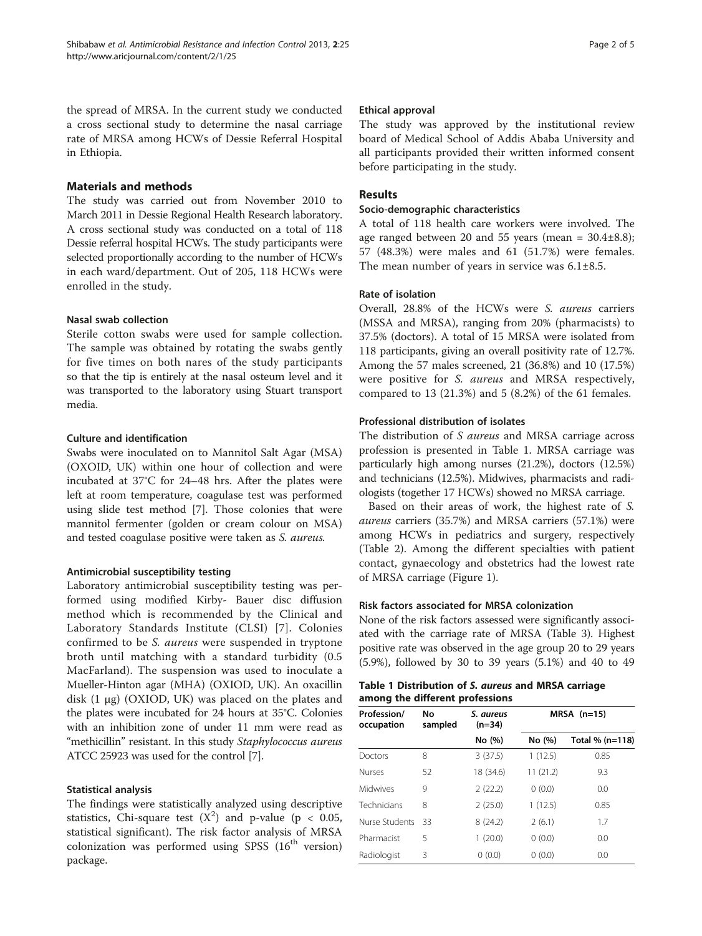the spread of MRSA. In the current study we conducted a cross sectional study to determine the nasal carriage rate of MRSA among HCWs of Dessie Referral Hospital in Ethiopia.

# Materials and methods

The study was carried out from November 2010 to March 2011 in Dessie Regional Health Research laboratory. A cross sectional study was conducted on a total of 118 Dessie referral hospital HCWs. The study participants were selected proportionally according to the number of HCWs in each ward/department. Out of 205, 118 HCWs were enrolled in the study.

# Nasal swab collection

Sterile cotton swabs were used for sample collection. The sample was obtained by rotating the swabs gently for five times on both nares of the study participants so that the tip is entirely at the nasal osteum level and it was transported to the laboratory using Stuart transport media.

# Culture and identification

Swabs were inoculated on to Mannitol Salt Agar (MSA) (OXOID, UK) within one hour of collection and were incubated at 37°C for 24–48 hrs. After the plates were left at room temperature, coagulase test was performed using slide test method [\[7](#page-3-0)]. Those colonies that were mannitol fermenter (golden or cream colour on MSA) and tested coagulase positive were taken as S. aureus.

## Antimicrobial susceptibility testing

Laboratory antimicrobial susceptibility testing was performed using modified Kirby- Bauer disc diffusion method which is recommended by the Clinical and Laboratory Standards Institute (CLSI) [[7\]](#page-3-0). Colonies confirmed to be S. aureus were suspended in tryptone broth until matching with a standard turbidity (0.5 MacFarland). The suspension was used to inoculate a Mueller-Hinton agar (MHA) (OXIOD, UK). An oxacillin disk  $(1 \mu g)$  (OXIOD, UK) was placed on the plates and the plates were incubated for 24 hours at 35°C. Colonies with an inhibition zone of under 11 mm were read as "methicillin" resistant. In this study Staphylococcus aureus ATCC 25923 was used for the control [[7\]](#page-3-0).

# Statistical analysis

The findings were statistically analyzed using descriptive statistics, Chi-square test  $(X^2)$  and p-value (p < 0.05, statistical significant). The risk factor analysis of MRSA colonization was performed using SPSS  $(16<sup>th</sup>$  version) package.

## Ethical approval

The study was approved by the institutional review board of Medical School of Addis Ababa University and all participants provided their written informed consent before participating in the study.

# Results

## Socio-demographic characteristics

A total of 118 health care workers were involved. The age ranged between 20 and 55 years (mean =  $30.4\pm8.8$ ); 57 (48.3%) were males and 61 (51.7%) were females. The mean number of years in service was 6.1±8.5.

# Rate of isolation

Overall, 28.8% of the HCWs were S. aureus carriers (MSSA and MRSA), ranging from 20% (pharmacists) to 37.5% (doctors). A total of 15 MRSA were isolated from 118 participants, giving an overall positivity rate of 12.7%. Among the 57 males screened, 21 (36.8%) and 10 (17.5%) were positive for S. aureus and MRSA respectively, compared to 13 (21.3%) and 5 (8.2%) of the 61 females.

# Professional distribution of isolates

The distribution of S aureus and MRSA carriage across profession is presented in Table 1. MRSA carriage was particularly high among nurses (21.2%), doctors (12.5%) and technicians (12.5%). Midwives, pharmacists and radiologists (together 17 HCWs) showed no MRSA carriage.

Based on their areas of work, the highest rate of S. aureus carriers (35.7%) and MRSA carriers (57.1%) were among HCWs in pediatrics and surgery, respectively (Table [2\)](#page-2-0). Among the different specialties with patient contact, gynaecology and obstetrics had the lowest rate of MRSA carriage (Figure [1\)](#page-2-0).

# Risk factors associated for MRSA colonization

None of the risk factors assessed were significantly associated with the carriage rate of MRSA (Table [3](#page-2-0)). Highest positive rate was observed in the age group 20 to 29 years (5.9%), followed by 30 to 39 years (5.1%) and 40 to 49

| Table 1 Distribution of S. aureus and MRSA carriage |  |  |
|-----------------------------------------------------|--|--|
| among the different professions                     |  |  |

| Profession/<br>occupation | Nο<br>sampled | S. aureus<br>$(n=34)$ | $MRSA$ (n=15) |                 |
|---------------------------|---------------|-----------------------|---------------|-----------------|
|                           |               | No (%)                | No (%)        | Total % (n=118) |
| Doctors                   | 8             | 3(37.5)               | 1(12.5)       | 0.85            |
| Nurses                    | 52            | 18 (34.6)             | 11(21.2)      | 9.3             |
| Midwives                  | 9             | 2(22.2)               | 0(0.0)        | 0.0             |
| Technicians               | 8             | 2(25.0)               | 1(12.5)       | 0.85            |
| Nurse Students            | 33            | 8(24.2)               | 2(6.1)        | 1.7             |
| Pharmacist                | 5             | (20.0)                | 0(0.0)        | 0.0             |
| Radiologist               | 3             | 0(0.0)                | 0(0.0)        | 0.0             |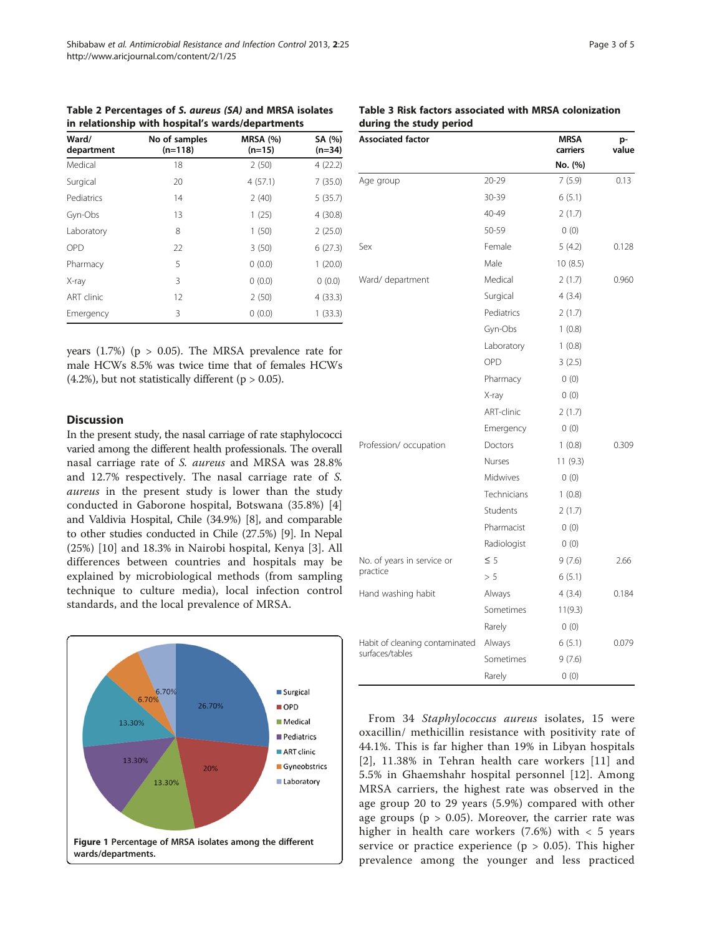<span id="page-2-0"></span>Table 2 Percentages of S. aureus (SA) and MRSA isolates in relationship with hospital's wards/departments

| Ward/<br>department | No of samples<br>$(n=118)$ | <b>MRSA (%)</b><br>$(n=15)$ | SA (%)<br>$(n=34)$ |
|---------------------|----------------------------|-----------------------------|--------------------|
| Medical             | 18                         | 2(50)                       | 4(22.2)            |
| Surgical            | 20                         | 4(57.1)                     | 7(35.0)            |
| Pediatrics          | 14                         | 2(40)                       | 5(35.7)            |
| Gyn-Obs             | 13                         | 1(25)                       | 4(30.8)            |
| Laboratory          | 8                          | 1(50)                       | 2(25.0)            |
| <b>OPD</b>          | 22                         | 3(50)                       | 6(27.3)            |
| Pharmacy            | 5                          | 0(0.0)                      | 1(20.0)            |
| X-ray               | 3                          | 0(0.0)                      | 0(0.0)             |
| ART clinic          | 12                         | 2(50)                       | 4(33.3)            |
| Emergency           | 3                          | 0(0.0)                      | 1(33.3)            |

years (1.7%) ( $p > 0.05$ ). The MRSA prevalence rate for male HCWs 8.5% was twice time that of females HCWs  $(4.2\%)$ , but not statistically different (p > 0.05).

## **Discussion**

In the present study, the nasal carriage of rate staphylococci varied among the different health professionals. The overall nasal carriage rate of S. aureus and MRSA was 28.8% and 12.7% respectively. The nasal carriage rate of S. aureus in the present study is lower than the study conducted in Gaborone hospital, Botswana (35.8%) [\[4](#page-3-0)] and Valdivia Hospital, Chile (34.9%) [[8](#page-3-0)], and comparable to other studies conducted in Chile (27.5%) [\[9](#page-3-0)]. In Nepal (25%) [[10\]](#page-3-0) and 18.3% in Nairobi hospital, Kenya [[3\]](#page-3-0). All differences between countries and hospitals may be explained by microbiological methods (from sampling technique to culture media), local infection control standards, and the local prevalence of MRSA.



Table 3 Risk factors associated with MRSA colonization during the study period

| <b>Associated factor</b>       |               | <b>MRSA</b><br>carriers | p-<br>value |
|--------------------------------|---------------|-------------------------|-------------|
|                                |               | No. (%)                 |             |
| Age group                      | 20-29         | 7(5.9)                  | 0.13        |
|                                | 30-39         | 6(5.1)                  |             |
|                                | 40-49         | 2(1.7)                  |             |
|                                | 50-59         | 0(0)                    |             |
| Sex                            | Female        | 5(4.2)                  | 0.128       |
|                                | Male          | 10(8.5)                 |             |
| Ward/ department               | Medical       | 2(1.7)                  | 0.960       |
|                                | Surgical      | 4(3.4)                  |             |
|                                | Pediatrics    | 2(1.7)                  |             |
|                                | Gyn-Obs       | 1(0.8)                  |             |
|                                | Laboratory    | 1(0.8)                  |             |
|                                | OPD           | 3(2.5)                  |             |
|                                | Pharmacy      | 0(0)                    |             |
|                                | X-ray         | 0(0)                    |             |
|                                | ART-clinic    | 2(1.7)                  |             |
|                                | Emergency     | 0(0)                    |             |
| Profession/ occupation         | Doctors       | 1(0.8)                  | 0.309       |
|                                | <b>Nurses</b> | 11 (9.3)                |             |
|                                | Midwives      | 0(0)                    |             |
|                                | Technicians   | 1(0.8)                  |             |
|                                | Students      | 2(1.7)                  |             |
|                                | Pharmacist    | 0(0)                    |             |
|                                | Radiologist   | 0(0)                    |             |
| No. of years in service or     | $\leq$ 5      | 9(7.6)                  | 2.66        |
| practice                       | > 5           | 6(5.1)                  |             |
| Hand washing habit             | Always        | 4(3.4)                  | 0.184       |
|                                | Sometimes     | 11(9.3)                 |             |
|                                | Rarely        | 0(0)                    |             |
| Habit of cleaning contaminated | Always        | 6(5.1)                  | 0.079       |
| surfaces/tables                | Sometimes     | 9 (7.6)                 |             |
|                                | Rarely        | 0(0)                    |             |

From 34 Staphylococcus aureus isolates, 15 were oxacillin/ methicillin resistance with positivity rate of 44.1%. This is far higher than 19% in Libyan hospitals [[2](#page-3-0)], 11.38% in Tehran health care workers [[11\]](#page-3-0) and 5.5% in Ghaemshahr hospital personnel [[12](#page-3-0)]. Among MRSA carriers, the highest rate was observed in the age group 20 to 29 years (5.9%) compared with other age groups ( $p > 0.05$ ). Moreover, the carrier rate was higher in health care workers  $(7.6%)$  with  $< 5$  years service or practice experience ( $p > 0.05$ ). This higher prevalence among the younger and less practiced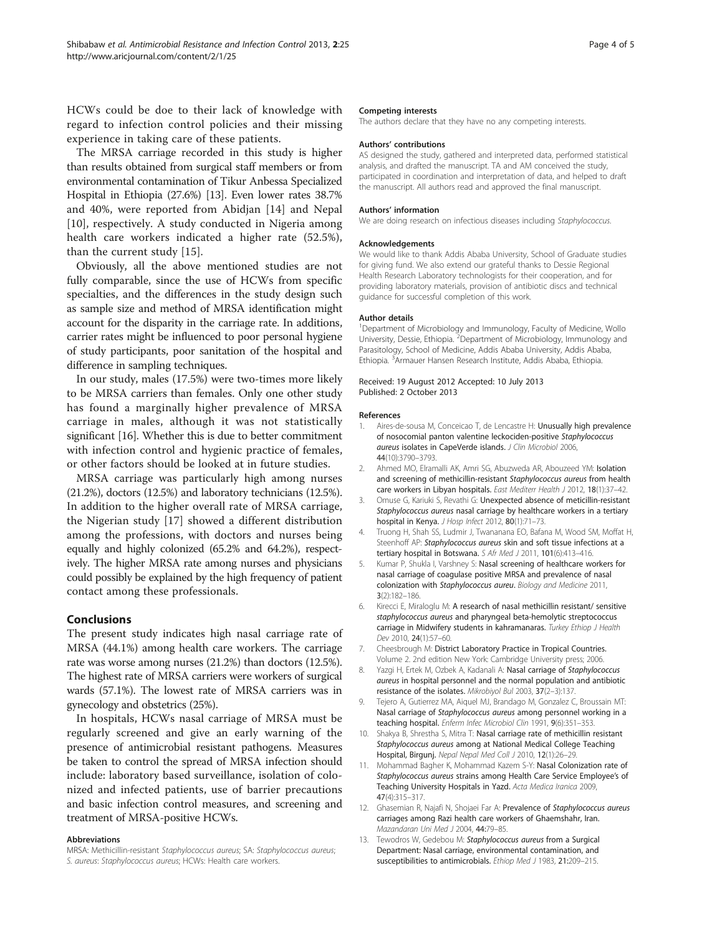<span id="page-3-0"></span>HCWs could be doe to their lack of knowledge with regard to infection control policies and their missing experience in taking care of these patients.

The MRSA carriage recorded in this study is higher than results obtained from surgical staff members or from environmental contamination of Tikur Anbessa Specialized Hospital in Ethiopia (27.6%) [13]. Even lower rates 38.7% and 40%, were reported from Abidjan [[14\]](#page-4-0) and Nepal [10], respectively. A study conducted in Nigeria among health care workers indicated a higher rate (52.5%), than the current study [[15\]](#page-4-0).

Obviously, all the above mentioned studies are not fully comparable, since the use of HCWs from specific specialties, and the differences in the study design such as sample size and method of MRSA identification might account for the disparity in the carriage rate. In additions, carrier rates might be influenced to poor personal hygiene of study participants, poor sanitation of the hospital and difference in sampling techniques.

In our study, males (17.5%) were two-times more likely to be MRSA carriers than females. Only one other study has found a marginally higher prevalence of MRSA carriage in males, although it was not statistically significant [\[16\]](#page-4-0). Whether this is due to better commitment with infection control and hygienic practice of females, or other factors should be looked at in future studies.

MRSA carriage was particularly high among nurses (21.2%), doctors (12.5%) and laboratory technicians (12.5%). In addition to the higher overall rate of MRSA carriage, the Nigerian study [[17\]](#page-4-0) showed a different distribution among the professions, with doctors and nurses being equally and highly colonized (65.2% and 64.2%), respectively. The higher MRSA rate among nurses and physicians could possibly be explained by the high frequency of patient contact among these professionals.

## Conclusions

The present study indicates high nasal carriage rate of MRSA (44.1%) among health care workers. The carriage rate was worse among nurses (21.2%) than doctors (12.5%). The highest rate of MRSA carriers were workers of surgical wards (57.1%). The lowest rate of MRSA carriers was in gynecology and obstetrics (25%).

In hospitals, HCWs nasal carriage of MRSA must be regularly screened and give an early warning of the presence of antimicrobial resistant pathogens. Measures be taken to control the spread of MRSA infection should include: laboratory based surveillance, isolation of colonized and infected patients, use of barrier precautions and basic infection control measures, and screening and treatment of MRSA-positive HCWs.

#### Abbreviations

MRSA: Methicillin-resistant Staphylococcus aureus; SA: Staphylococcus aureus; S. aureus: Staphylococcus aureus; HCWs: Health care workers.

### Competing interests

The authors declare that they have no any competing interests.

### Authors' contributions

AS designed the study, gathered and interpreted data, performed statistical analysis, and drafted the manuscript. TA and AM conceived the study, participated in coordination and interpretation of data, and helped to draft the manuscript. All authors read and approved the final manuscript.

## Authors' information

We are doing research on infectious diseases including Staphylococcus.

### Acknowledgements

We would like to thank Addis Ababa University, School of Graduate studies for giving fund. We also extend our grateful thanks to Dessie Regional Health Research Laboratory technologists for their cooperation, and for providing laboratory materials, provision of antibiotic discs and technical guidance for successful completion of this work.

### Author details

<sup>1</sup>Department of Microbiology and Immunology, Faculty of Medicine, Wollo University, Dessie, Ethiopia. <sup>2</sup>Department of Microbiology, Immunology and Parasitology, School of Medicine, Addis Ababa University, Addis Ababa, Ethiopia. <sup>3</sup> Armauer Hansen Research Institute, Addis Ababa, Ethiopia.

### Received: 19 August 2012 Accepted: 10 July 2013 Published: 2 October 2013

#### References

- 1. Aires-de-sousa M, Conceicao T, de Lencastre H: Unusually high prevalence of nosocomial panton valentine leckociden-positive Staphylococcus aureus isolates in CapeVerde islands. J Clin Microbiol 2006, 44(10):3790–3793.
- 2. Ahmed MO, Elramalli AK, Amri SG, Abuzweda AR, Abouzeed YM: Isolation and screening of methicillin-resistant Staphylococcus aureus from health care workers in Libyan hospitals. East Mediterr Health J 2012, 18(1):37–42.
- 3. Omuse G, Kariuki S, Revathi G: Unexpected absence of meticillin-resistant Staphylococcus aureus nasal carriage by healthcare workers in a tertiary hospital in Kenya. J Hosp Infect 2012, 80(1):71-73.
- 4. Truong H, Shah SS, Ludmir J, Twananana EO, Bafana M, Wood SM, Moffat H, Steenhoff AP: Staphylococcus aureus skin and soft tissue infections at a tertiary hospital in Botswana. S Afr Med J 2011, 101(6):413-416.
- 5. Kumar P, Shukla I, Varshney S: Nasal screening of healthcare workers for nasal carriage of coagulase positive MRSA and prevalence of nasal colonization with Staphylococcus aureu. Biology and Medicine 2011, 3(2):182–186.
- 6. Kirecci E, Miraloglu M: A research of nasal methicillin resistant/ sensitive staphylococcus aureus and pharyngeal beta-hemolytic streptococcus carriage in Midwifery students in kahramanaras. Turkey Ethiop J Health Dev 2010, 24(1):57–60.
- 7. Cheesbrough M: District Laboratory Practice in Tropical Countries. Volume 2. 2nd edition New York: Cambridge University press; 2006.
- 8. Yazgi H, Ertek M, Ozbek A, Kadanali A: Nasal carriage of Staphylococcus aureus in hospital personnel and the normal population and antibiotic resistance of the isolates. Mikrobiyol Bul 2003, 37(2–3):137.
- 9. Tejero A, Gutierrez MA, Aiquel MJ, Brandago M, Gonzalez C, Broussain MT: Nasal carriage of Staphylococcus aureus among personnel working in a teaching hospital. Enferm Infec Microbiol Clin 1991, 9(6):351-353.
- 10. Shakya B, Shrestha S, Mitra T: Nasal carriage rate of methicillin resistant Staphylococcus aureus among at National Medical College Teaching Hospital, Birgunj. Nepal Nepal Med Coll J 2010, 12(1):26–29.
- 11. Mohammad Bagher K, Mohammad Kazem S-Y: Nasal Colonization rate of Staphylococcus aureus strains among Health Care Service Employee's of Teaching University Hospitals in Yazd. Acta Medica Iranica 2009, 47(4):315–317.
- 12. Ghasemian R, Najafi N, Shojaei Far A: Prevalence of Staphylococcus aureus carriages among Razi health care workers of Ghaemshahr, Iran. Mazandaran Uni Med J 2004, 44:79–85.
- 13. Tewodros W, Gedebou M: Staphylococcus aureus from a Surgical Department: Nasal carriage, environmental contamination, and susceptibilities to antimicrobials. Ethiop Med J 1983, 21:209-215.